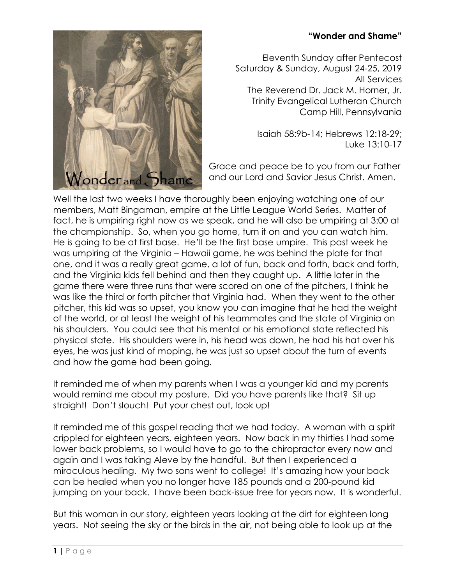## **"Wonder and Shame"**



Eleventh Sunday after Pentecost Saturday & Sunday, August 24-25, 2019 All Services The Reverend Dr. Jack M. Horner, Jr. Trinity Evangelical Lutheran Church Camp Hill, Pennsylvania

> Isaiah 58:9b-14; Hebrews 12:18-29; Luke 13:10-17

Grace and peace be to you from our Father and our Lord and Savior Jesus Christ. Amen.

Well the last two weeks I have thoroughly been enjoying watching one of our members, Matt Bingaman, empire at the Little League World Series. Matter of fact, he is umpiring right now as we speak, and he will also be umpiring at 3:00 at the championship. So, when you go home, turn it on and you can watch him. He is going to be at first base. He'll be the first base umpire. This past week he was umpiring at the Virginia – Hawaii game, he was behind the plate for that one, and it was a really great game, a lot of fun, back and forth, back and forth, and the Virginia kids fell behind and then they caught up. A little later in the game there were three runs that were scored on one of the pitchers, I think he was like the third or forth pitcher that Virginia had. When they went to the other pitcher, this kid was so upset, you know you can imagine that he had the weight of the world, or at least the weight of his teammates and the state of Virginia on his shoulders. You could see that his mental or his emotional state reflected his physical state. His shoulders were in, his head was down, he had his hat over his eyes, he was just kind of moping, he was just so upset about the turn of events and how the game had been going.

It reminded me of when my parents when I was a younger kid and my parents would remind me about my posture. Did you have parents like that? Sit up straight! Don't slouch! Put your chest out, look up!

It reminded me of this gospel reading that we had today. A woman with a spirit crippled for eighteen years, eighteen years. Now back in my thirties I had some lower back problems, so I would have to go to the chiropractor every now and again and I was taking Aleve by the handful. But then I experienced a miraculous healing. My two sons went to college! It's amazing how your back can be healed when you no longer have 185 pounds and a 200-pound kid jumping on your back. I have been back-issue free for years now. It is wonderful.

But this woman in our story, eighteen years looking at the dirt for eighteen long years. Not seeing the sky or the birds in the air, not being able to look up at the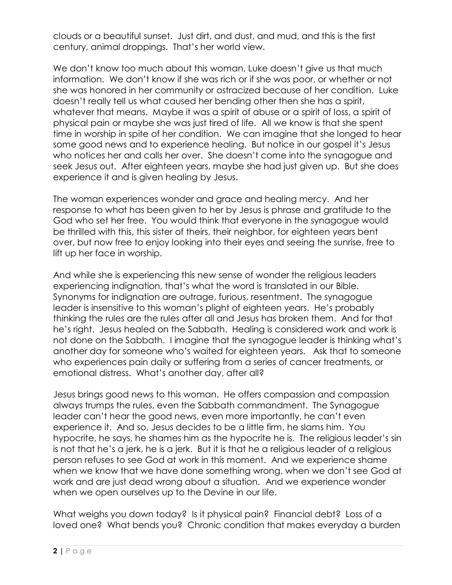clouds or a beautiful sunset. Just dirt, and dust, and mud, and this is the first century, animal droppings. That's her world view.

We don't know too much about this woman, Luke doesn't give us that much information. We don't know if she was rich or if she was poor, or whether or not she was honored in her community or ostracized because of her condition. Luke doesn't really tell us what caused her bending other then she has a spirit, whatever that means. Maybe it was a spirit of abuse or a spirit of loss, a spirit of physical pain or maybe she was just tired of life. All we know is that she spent time in worship in spite of her condition. We can imagine that she longed to hear some good news and to experience healing. But notice in our gospel it's Jesus who notices her and calls her over. She doesn't come into the synagogue and seek Jesus out. After eighteen years, maybe she had just given up. But she does experience it and is given healing by Jesus.

The woman experiences wonder and grace and healing mercy. And her response to what has been given to her by Jesus is phrase and gratitude to the God who set her free. You would think that everyone in the synagogue would be thrilled with this, this sister of theirs, their neighbor, for eighteen years bent over, but now free to enjoy looking into their eyes and seeing the sunrise, free to lift up her face in worship.

And while she is experiencing this new sense of wonder the religious leaders experiencing indignation, that's what the word is translated in our Bible. Synonyms for indignation are outrage, furious, resentment. The synagogue leader is insensitive to this woman's plight of eighteen years. He's probably thinking the rules are the rules after all and Jesus has broken them. And for that he's right. Jesus healed on the Sabbath. Healing is considered work and work is not done on the Sabbath. I imagine that the synagogue leader is thinking what's another day for someone who's waited for eighteen years. Ask that to someone who experiences pain daily or suffering from a series of cancer treatments, or emotional distress. What's another day, after all?

Jesus brings good news to this woman. He offers compassion and compassion always trumps the rules, even the Sabbath commandment. The Synagogue leader can't hear the good news, even more importantly, he can't even experience it. And so, Jesus decides to be a little firm, he slams him. You hypocrite, he says, he shames him as the hypocrite he is. The religious leader's sin is not that he's a jerk, he is a jerk. But it is that he a religious leader of a religious person refuses to see God at work in this moment. And we experience shame when we know that we have done something wrong, when we don't see God at work and are just dead wrong about a situation. And we experience wonder when we open ourselves up to the Devine in our life.

What weighs you down today? Is it physical pain? Financial debt? Loss of a loved one? What bends you? Chronic condition that makes everyday a burden